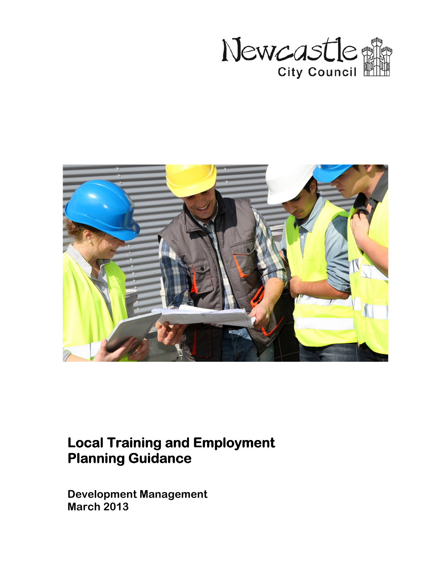



# **Local Training and Employment Planning Guidance**

Development Management March 2013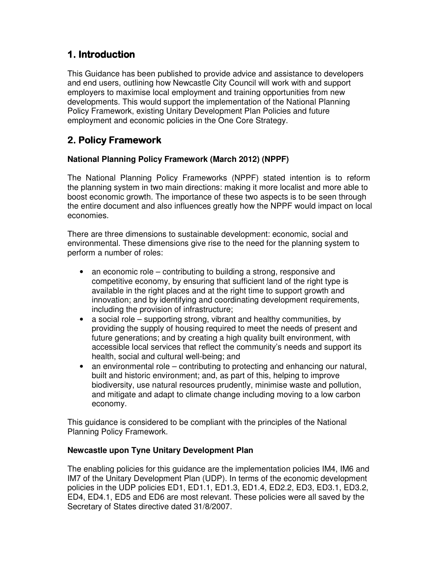# 1. Introduction

This Guidance has been published to provide advice and assistance to developers and end users, outlining how Newcastle City Council will work with and support employers to maximise local employment and training opportunities from new developments. This would support the implementation of the National Planning Policy Framework, existing Unitary Development Plan Policies and future employment and economic policies in the One Core Strategy.

# 2. Policy Framework

### **National Planning Policy Framework (March 2012) (NPPF)**

The National Planning Policy Frameworks (NPPF) stated intention is to reform the planning system in two main directions: making it more localist and more able to boost economic growth. The importance of these two aspects is to be seen through the entire document and also influences greatly how the NPPF would impact on local economies.

There are three dimensions to sustainable development: economic, social and environmental. These dimensions give rise to the need for the planning system to perform a number of roles:

- an economic role contributing to building a strong, responsive and competitive economy, by ensuring that sufficient land of the right type is available in the right places and at the right time to support growth and innovation; and by identifying and coordinating development requirements, including the provision of infrastructure;
- a social role supporting strong, vibrant and healthy communities, by providing the supply of housing required to meet the needs of present and future generations; and by creating a high quality built environment, with accessible local services that reflect the community's needs and support its health, social and cultural well-being; and
- an environmental role contributing to protecting and enhancing our natural, built and historic environment; and, as part of this, helping to improve biodiversity, use natural resources prudently, minimise waste and pollution, and mitigate and adapt to climate change including moving to a low carbon economy.

This guidance is considered to be compliant with the principles of the National Planning Policy Framework.

### **Newcastle upon Tyne Unitary Development Plan**

The enabling policies for this guidance are the implementation policies IM4, IM6 and IM7 of the Unitary Development Plan (UDP). In terms of the economic development policies in the UDP policies ED1, ED1.1, ED1.3, ED1.4, ED2.2, ED3, ED3.1, ED3.2, ED4, ED4.1, ED5 and ED6 are most relevant. These policies were all saved by the Secretary of States directive dated 31/8/2007.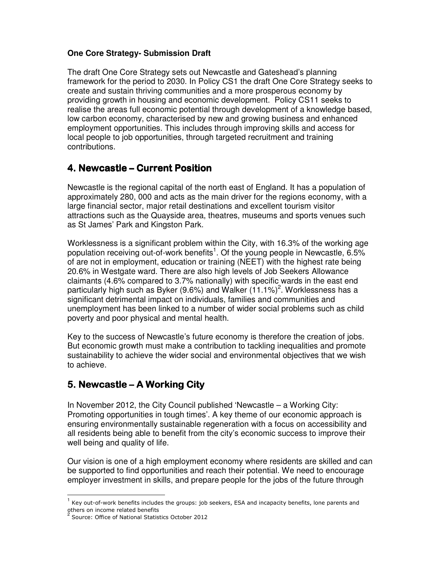### **One Core Strategy- Submission Draft**

The draft One Core Strategy sets out Newcastle and Gateshead's planning framework for the period to 2030. In Policy CS1 the draft One Core Strategy seeks to create and sustain thriving communities and a more prosperous economy by providing growth in housing and economic development. Policy CS11 seeks to realise the areas full economic potential through development of a knowledge based, low carbon economy, characterised by new and growing business and enhanced employment opportunities. This includes through improving skills and access for local people to job opportunities, through targeted recruitment and training contributions.

# 4. Newcastle – Current Position

Newcastle is the regional capital of the north east of England. It has a population of approximately 280, 000 and acts as the main driver for the regions economy, with a large financial sector, major retail destinations and excellent tourism visitor attractions such as the Quayside area, theatres, museums and sports venues such as St James' Park and Kingston Park.

Worklessness is a significant problem within the City, with 16.3% of the working age population receiving out-of-work benefits<sup>1</sup>. Of the young people in Newcastle, 6.5% of are not in employment, education or training (NEET) with the highest rate being 20.6% in Westgate ward. There are also high levels of Job Seekers Allowance claimants (4.6% compared to 3.7% nationally) with specific wards in the east end particularly high such as Byker (9.6%) and Walker (11.1%)<sup>2</sup>. Worklessness has a significant detrimental impact on individuals, families and communities and unemployment has been linked to a number of wider social problems such as child poverty and poor physical and mental health.

Key to the success of Newcastle's future economy is therefore the creation of jobs. But economic growth must make a contribution to tackling inequalities and promote sustainability to achieve the wider social and environmental objectives that we wish to achieve.

# 5. Newcastle – A Working City

In November 2012, the City Council published 'Newcastle – a Working City: Promoting opportunities in tough times'. A key theme of our economic approach is ensuring environmentally sustainable regeneration with a focus on accessibility and all residents being able to benefit from the city's economic success to improve their well being and quality of life.

Our vision is one of a high employment economy where residents are skilled and can be supported to find opportunities and reach their potential. We need to encourage employer investment in skills, and prepare people for the jobs of the future through

 $\frac{1}{2}$ 

<sup>&</sup>lt;sup>1</sup> Key out-of-work benefits includes the groups: job seekers, ESA and incapacity benefits, lone parents and others on income related benefits

<sup>2</sup> Source: Office of National Statistics October 2012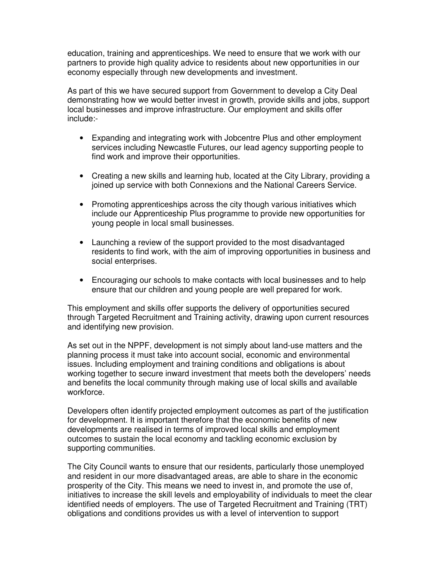education, training and apprenticeships. We need to ensure that we work with our partners to provide high quality advice to residents about new opportunities in our economy especially through new developments and investment.

As part of this we have secured support from Government to develop a City Deal demonstrating how we would better invest in growth, provide skills and jobs, support local businesses and improve infrastructure. Our employment and skills offer include:-

- Expanding and integrating work with Jobcentre Plus and other employment services including Newcastle Futures, our lead agency supporting people to find work and improve their opportunities.
- Creating a new skills and learning hub, located at the City Library, providing a joined up service with both Connexions and the National Careers Service.
- Promoting apprenticeships across the city though various initiatives which include our Apprenticeship Plus programme to provide new opportunities for young people in local small businesses.
- Launching a review of the support provided to the most disadvantaged residents to find work, with the aim of improving opportunities in business and social enterprises.
- Encouraging our schools to make contacts with local businesses and to help ensure that our children and young people are well prepared for work.

This employment and skills offer supports the delivery of opportunities secured through Targeted Recruitment and Training activity, drawing upon current resources and identifying new provision.

As set out in the NPPF, development is not simply about land-use matters and the planning process it must take into account social, economic and environmental issues. Including employment and training conditions and obligations is about working together to secure inward investment that meets both the developers' needs and benefits the local community through making use of local skills and available workforce.

Developers often identify projected employment outcomes as part of the justification for development. It is important therefore that the economic benefits of new developments are realised in terms of improved local skills and employment outcomes to sustain the local economy and tackling economic exclusion by supporting communities.

The City Council wants to ensure that our residents, particularly those unemployed and resident in our more disadvantaged areas, are able to share in the economic prosperity of the City. This means we need to invest in, and promote the use of, initiatives to increase the skill levels and employability of individuals to meet the clear identified needs of employers. The use of Targeted Recruitment and Training (TRT) obligations and conditions provides us with a level of intervention to support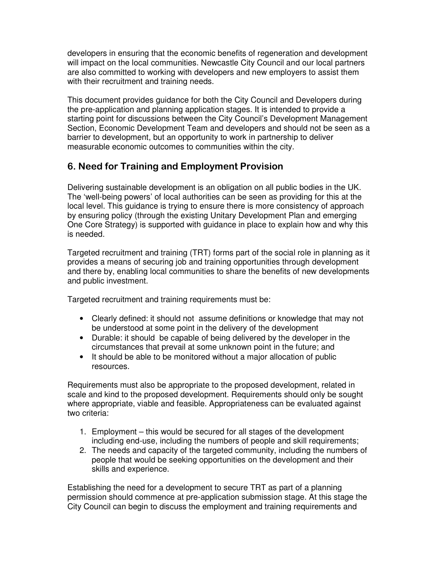developers in ensuring that the economic benefits of regeneration and development will impact on the local communities. Newcastle City Council and our local partners are also committed to working with developers and new employers to assist them with their recruitment and training needs.

This document provides guidance for both the City Council and Developers during the pre-application and planning application stages. It is intended to provide a starting point for discussions between the City Council's Development Management Section, Economic Development Team and developers and should not be seen as a barrier to development, but an opportunity to work in partnership to deliver measurable economic outcomes to communities within the city.

# 6. Need for Training and Employment Provision

Delivering sustainable development is an obligation on all public bodies in the UK. The 'well-being powers' of local authorities can be seen as providing for this at the local level. This guidance is trying to ensure there is more consistency of approach by ensuring policy (through the existing Unitary Development Plan and emerging One Core Strategy) is supported with guidance in place to explain how and why this is needed.

Targeted recruitment and training (TRT) forms part of the social role in planning as it provides a means of securing job and training opportunities through development and there by, enabling local communities to share the benefits of new developments and public investment.

Targeted recruitment and training requirements must be:

- Clearly defined: it should not assume definitions or knowledge that may not be understood at some point in the delivery of the development
- Durable: it should be capable of being delivered by the developer in the circumstances that prevail at some unknown point in the future; and
- It should be able to be monitored without a major allocation of public resources.

Requirements must also be appropriate to the proposed development, related in scale and kind to the proposed development. Requirements should only be sought where appropriate, viable and feasible. Appropriateness can be evaluated against two criteria:

- 1. Employment this would be secured for all stages of the development including end-use, including the numbers of people and skill requirements;
- 2. The needs and capacity of the targeted community, including the numbers of people that would be seeking opportunities on the development and their skills and experience.

Establishing the need for a development to secure TRT as part of a planning permission should commence at pre-application submission stage. At this stage the City Council can begin to discuss the employment and training requirements and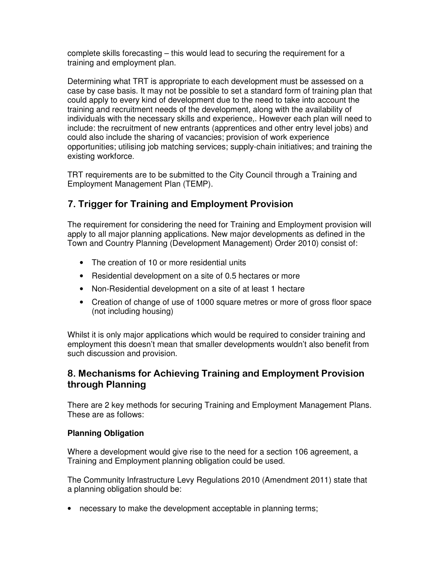complete skills forecasting – this would lead to securing the requirement for a training and employment plan.

Determining what TRT is appropriate to each development must be assessed on a case by case basis. It may not be possible to set a standard form of training plan that could apply to every kind of development due to the need to take into account the training and recruitment needs of the development, along with the availability of individuals with the necessary skills and experience,. However each plan will need to include: the recruitment of new entrants (apprentices and other entry level jobs) and could also include the sharing of vacancies; provision of work experience opportunities; utilising job matching services; supply-chain initiatives; and training the existing workforce.

TRT requirements are to be submitted to the City Council through a Training and Employment Management Plan (TEMP).

# 7. Trigger for Training and Employment Provision

The requirement for considering the need for Training and Employment provision will apply to all major planning applications. New major developments as defined in the Town and Country Planning (Development Management) Order 2010) consist of:

- The creation of 10 or more residential units
- Residential development on a site of 0.5 hectares or more
- Non-Residential development on a site of at least 1 hectare
- Creation of change of use of 1000 square metres or more of gross floor space (not including housing)

Whilst it is only major applications which would be required to consider training and employment this doesn't mean that smaller developments wouldn't also benefit from such discussion and provision.

# 8. Mechanisms for Achieving Training and Employment Provision through Planning

There are 2 key methods for securing Training and Employment Management Plans. These are as follows:

### **Planning Obligation**

Where a development would give rise to the need for a section 106 agreement, a Training and Employment planning obligation could be used.

The Community Infrastructure Levy Regulations 2010 (Amendment 2011) state that a planning obligation should be:

• necessary to make the development acceptable in planning terms;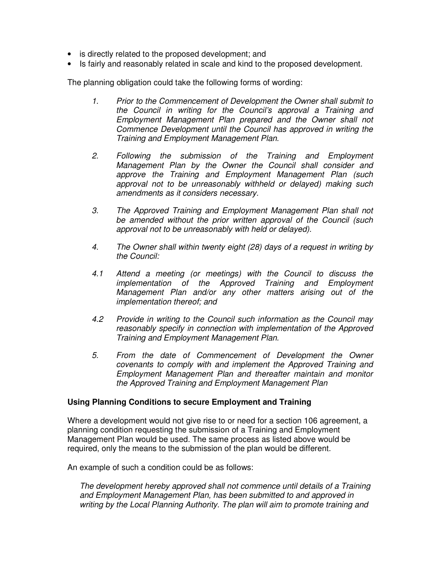- is directly related to the proposed development; and
- Is fairly and reasonably related in scale and kind to the proposed development.

The planning obligation could take the following forms of wording:

- 1. Prior to the Commencement of Development the Owner shall submit to the Council in writing for the Council's approval a Training and Employment Management Plan prepared and the Owner shall not Commence Development until the Council has approved in writing the Training and Employment Management Plan.
- 2. Following the submission of the Training and Employment Management Plan by the Owner the Council shall consider and approve the Training and Employment Management Plan (such approval not to be unreasonably withheld or delayed) making such amendments as it considers necessary.
- 3. The Approved Training and Employment Management Plan shall not be amended without the prior written approval of the Council (such approval not to be unreasonably with held or delayed).
- 4. The Owner shall within twenty eight (28) days of a request in writing by the Council:
- 4.1 Attend a meeting (or meetings) with the Council to discuss the implementation of the Approved Training and Employment Management Plan and/or any other matters arising out of the implementation thereof; and
- 4.2 Provide in writing to the Council such information as the Council may reasonably specify in connection with implementation of the Approved Training and Employment Management Plan.
- 5. From the date of Commencement of Development the Owner covenants to comply with and implement the Approved Training and Employment Management Plan and thereafter maintain and monitor the Approved Training and Employment Management Plan

#### **Using Planning Conditions to secure Employment and Training**

Where a development would not give rise to or need for a section 106 agreement, a planning condition requesting the submission of a Training and Employment Management Plan would be used. The same process as listed above would be required, only the means to the submission of the plan would be different.

An example of such a condition could be as follows:

The development hereby approved shall not commence until details of a Training and Employment Management Plan, has been submitted to and approved in writing by the Local Planning Authority. The plan will aim to promote training and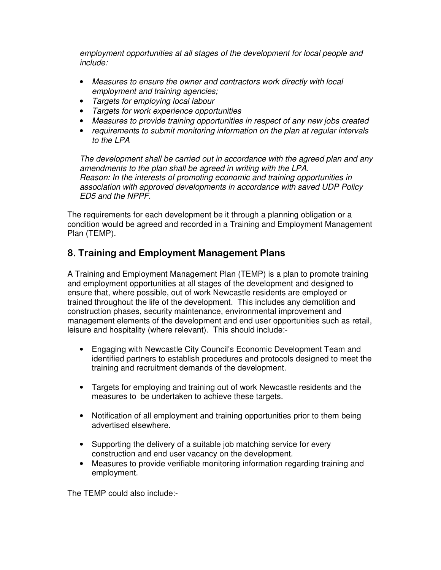employment opportunities at all stages of the development for local people and include:

- Measures to ensure the owner and contractors work directly with local employment and training agencies;
- Targets for employing local labour
- Targets for work experience opportunities
- Measures to provide training opportunities in respect of any new jobs created
- requirements to submit monitoring information on the plan at regular intervals to the LPA

The development shall be carried out in accordance with the agreed plan and any amendments to the plan shall be agreed in writing with the LPA. Reason: In the interests of promoting economic and training opportunities in association with approved developments in accordance with saved UDP Policy ED5 and the NPPF.

The requirements for each development be it through a planning obligation or a condition would be agreed and recorded in a Training and Employment Management Plan (TEMP).

# 8. Training and Employment Management Plans

A Training and Employment Management Plan (TEMP) is a plan to promote training and employment opportunities at all stages of the development and designed to ensure that, where possible, out of work Newcastle residents are employed or trained throughout the life of the development. This includes any demolition and construction phases, security maintenance, environmental improvement and management elements of the development and end user opportunities such as retail, leisure and hospitality (where relevant). This should include:-

- Engaging with Newcastle City Council's Economic Development Team and identified partners to establish procedures and protocols designed to meet the training and recruitment demands of the development.
- Targets for employing and training out of work Newcastle residents and the measures to be undertaken to achieve these targets.
- Notification of all employment and training opportunities prior to them being advertised elsewhere.
- Supporting the delivery of a suitable job matching service for every construction and end user vacancy on the development.
- Measures to provide verifiable monitoring information regarding training and employment.

The TEMP could also include:-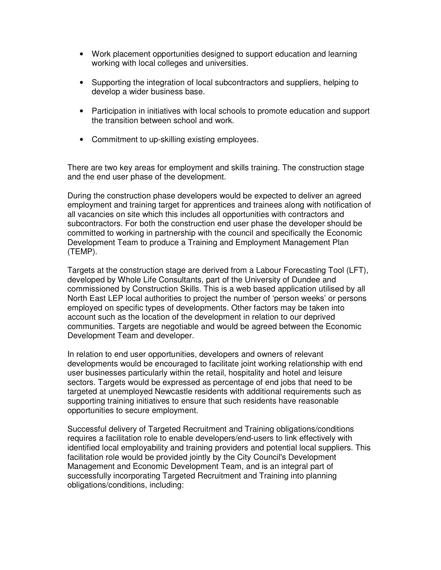- Work placement opportunities designed to support education and learning working with local colleges and universities.
- Supporting the integration of local subcontractors and suppliers, helping to develop a wider business base.
- Participation in initiatives with local schools to promote education and support the transition between school and work.
- Commitment to up-skilling existing employees.

There are two key areas for employment and skills training. The construction stage and the end user phase of the development.

During the construction phase developers would be expected to deliver an agreed employment and training target for apprentices and trainees along with notification of all vacancies on site which this includes all opportunities with contractors and subcontractors. For both the construction end user phase the developer should be committed to working in partnership with the council and specifically the Economic Development Team to produce a Training and Employment Management Plan (TEMP).

Targets at the construction stage are derived from a Labour Forecasting Tool (LFT), developed by Whole Life Consultants, part of the University of Dundee and commissioned by Construction Skills. This is a web based application utilised by all North East LEP local authorities to project the number of 'person weeks' or persons employed on specific types of developments. Other factors may be taken into account such as the location of the development in relation to our deprived communities. Targets are negotiable and would be agreed between the Economic Development Team and developer.

In relation to end user opportunities, developers and owners of relevant developments would be encouraged to facilitate joint working relationship with end user businesses particularly within the retail, hospitality and hotel and leisure sectors. Targets would be expressed as percentage of end jobs that need to be targeted at unemployed Newcastle residents with additional requirements such as supporting training initiatives to ensure that such residents have reasonable opportunities to secure employment.

Successful delivery of Targeted Recruitment and Training obligations/conditions requires a facilitation role to enable developers/end-users to link effectively with identified local employability and training providers and potential local suppliers. This facilitation role would be provided jointly by the City Council's Development Management and Economic Development Team, and is an integral part of successfully incorporating Targeted Recruitment and Training into planning obligations/conditions, including: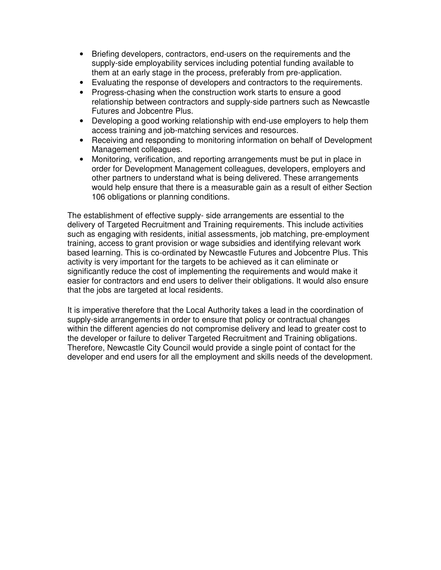- Briefing developers, contractors, end-users on the requirements and the supply-side employability services including potential funding available to them at an early stage in the process, preferably from pre-application.
- Evaluating the response of developers and contractors to the requirements.
- Progress-chasing when the construction work starts to ensure a good relationship between contractors and supply-side partners such as Newcastle Futures and Jobcentre Plus.
- Developing a good working relationship with end-use employers to help them access training and job-matching services and resources.
- Receiving and responding to monitoring information on behalf of Development Management colleagues.
- Monitoring, verification, and reporting arrangements must be put in place in order for Development Management colleagues, developers, employers and other partners to understand what is being delivered. These arrangements would help ensure that there is a measurable gain as a result of either Section 106 obligations or planning conditions.

The establishment of effective supply- side arrangements are essential to the delivery of Targeted Recruitment and Training requirements. This include activities such as engaging with residents, initial assessments, job matching, pre-employment training, access to grant provision or wage subsidies and identifying relevant work based learning. This is co-ordinated by Newcastle Futures and Jobcentre Plus. This activity is very important for the targets to be achieved as it can eliminate or significantly reduce the cost of implementing the requirements and would make it easier for contractors and end users to deliver their obligations. It would also ensure that the jobs are targeted at local residents.

It is imperative therefore that the Local Authority takes a lead in the coordination of supply-side arrangements in order to ensure that policy or contractual changes within the different agencies do not compromise delivery and lead to greater cost to the developer or failure to deliver Targeted Recruitment and Training obligations. Therefore, Newcastle City Council would provide a single point of contact for the developer and end users for all the employment and skills needs of the development.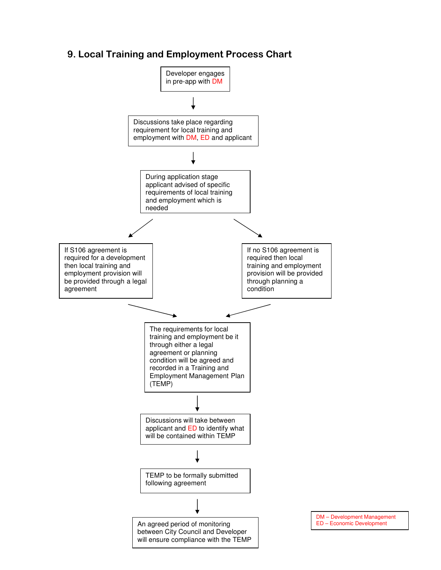# 9. Local Training and Employment Process Chart



DM – Development Management ED – Economic Development